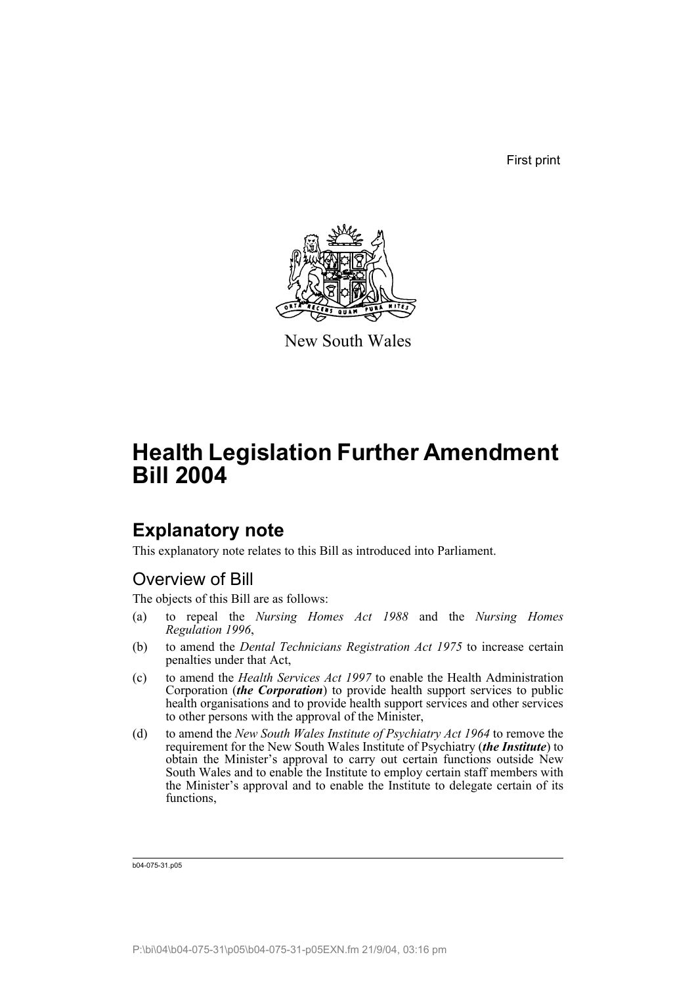First print



New South Wales

# **Health Legislation Further Amendment Bill 2004**

### **Explanatory note**

This explanatory note relates to this Bill as introduced into Parliament.

### Overview of Bill

The objects of this Bill are as follows:

- (a) to repeal the *Nursing Homes Act 1988* and the *Nursing Homes Regulation 1996*,
- (b) to amend the *Dental Technicians Registration Act 1975* to increase certain penalties under that Act,
- (c) to amend the *Health Services Act 1997* to enable the Health Administration Corporation (*the Corporation*) to provide health support services to public health organisations and to provide health support services and other services to other persons with the approval of the Minister,
- (d) to amend the *New South Wales Institute of Psychiatry Act 1964* to remove the requirement for the New South Wales Institute of Psychiatry (*the Institute*) to obtain the Minister's approval to carry out certain functions outside New South Wales and to enable the Institute to employ certain staff members with the Minister's approval and to enable the Institute to delegate certain of its functions,

b04-075-31.p05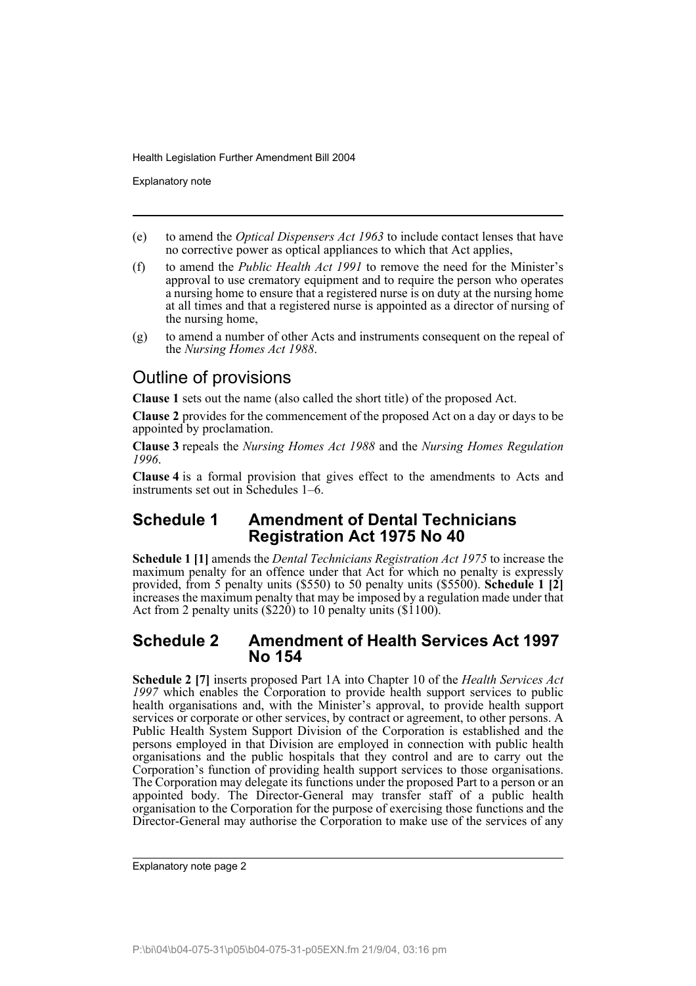Explanatory note

- (e) to amend the *Optical Dispensers Act 1963* to include contact lenses that have no corrective power as optical appliances to which that Act applies,
- (f) to amend the *Public Health Act 1991* to remove the need for the Minister's approval to use crematory equipment and to require the person who operates a nursing home to ensure that a registered nurse is on duty at the nursing home at all times and that a registered nurse is appointed as a director of nursing of the nursing home,
- (g) to amend a number of other Acts and instruments consequent on the repeal of the *Nursing Homes Act 1988*.

### Outline of provisions

**Clause 1** sets out the name (also called the short title) of the proposed Act.

**Clause 2** provides for the commencement of the proposed Act on a day or days to be appointed by proclamation.

**Clause 3** repeals the *Nursing Homes Act 1988* and the *Nursing Homes Regulation 1996*.

**Clause 4** is a formal provision that gives effect to the amendments to Acts and instruments set out in Schedules 1–6.

### **Schedule 1 Amendment of Dental Technicians Registration Act 1975 No 40**

**Schedule 1 [1]** amends the *Dental Technicians Registration Act 1975* to increase the maximum penalty for an offence under that Act for which no penalty is expressly provided, from 5 penalty units (\$550) to 50 penalty units (\$5500). **Schedule 1 [2]** increases the maximum penalty that may be imposed by a regulation made under that Act from 2 penalty units (\$220) to 10 penalty units (\$1100).

### **Schedule 2 Amendment of Health Services Act 1997 No 154**

**Schedule 2 [7]** inserts proposed Part 1A into Chapter 10 of the *Health Services Act 1997* which enables the Corporation to provide health support services to public health organisations and, with the Minister's approval, to provide health support services or corporate or other services, by contract or agreement, to other persons. A Public Health System Support Division of the Corporation is established and the persons employed in that Division are employed in connection with public health organisations and the public hospitals that they control and are to carry out the Corporation's function of providing health support services to those organisations. The Corporation may delegate its functions under the proposed Part to a person or an appointed body. The Director-General may transfer staff of a public health organisation to the Corporation for the purpose of exercising those functions and the Director-General may authorise the Corporation to make use of the services of any

Explanatory note page 2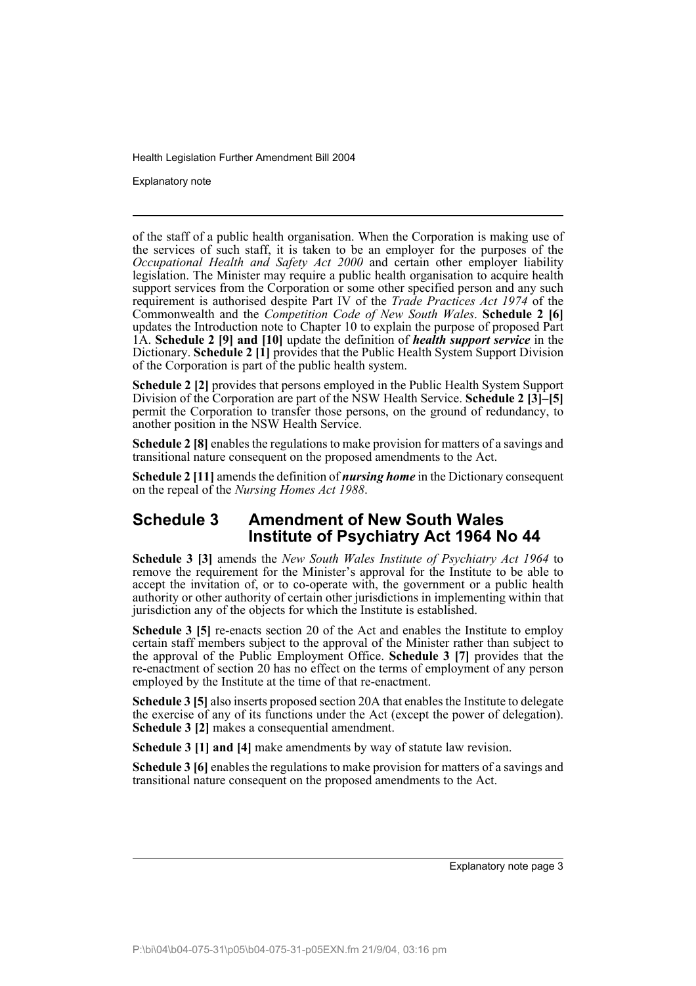Explanatory note

of the staff of a public health organisation. When the Corporation is making use of the services of such staff, it is taken to be an employer for the purposes of the *Occupational Health and Safety Act 2000* and certain other employer liability legislation. The Minister may require a public health organisation to acquire health support services from the Corporation or some other specified person and any such requirement is authorised despite Part IV of the *Trade Practices Act 1974* of the Commonwealth and the *Competition Code of New South Wales*. **Schedule 2 [6]** updates the Introduction note to Chapter 10 to explain the purpose of proposed Part 1A. **Schedule 2 [9] and [10]** update the definition of *health support service* in the Dictionary. **Schedule 2 [1]** provides that the Public Health System Support Division of the Corporation is part of the public health system.

**Schedule 2 [2]** provides that persons employed in the Public Health System Support Division of the Corporation are part of the NSW Health Service. **Schedule 2 [3]–[5]** permit the Corporation to transfer those persons, on the ground of redundancy, to another position in the NSW Health Service.

**Schedule 2 [8]** enables the regulations to make provision for matters of a savings and transitional nature consequent on the proposed amendments to the Act.

**Schedule 2 [11]** amends the definition of *nursing home* in the Dictionary consequent on the repeal of the *Nursing Homes Act 1988*.

### **Schedule 3 Amendment of New South Wales Institute of Psychiatry Act 1964 No 44**

**Schedule 3 [3]** amends the *New South Wales Institute of Psychiatry Act 1964* to remove the requirement for the Minister's approval for the Institute to be able to accept the invitation of, or to co-operate with, the government or a public health authority or other authority of certain other jurisdictions in implementing within that jurisdiction any of the objects for which the Institute is established.

**Schedule 3 [5]** re-enacts section 20 of the Act and enables the Institute to employ certain staff members subject to the approval of the Minister rather than subject to the approval of the Public Employment Office. **Schedule 3 [7]** provides that the re-enactment of section 20 has no effect on the terms of employment of any person employed by the Institute at the time of that re-enactment.

**Schedule 3 [5]** also inserts proposed section 20A that enables the Institute to delegate the exercise of any of its functions under the Act (except the power of delegation). **Schedule 3 [2]** makes a consequential amendment.

**Schedule 3 [1] and [4]** make amendments by way of statute law revision.

**Schedule 3 [6]** enables the regulations to make provision for matters of a savings and transitional nature consequent on the proposed amendments to the Act.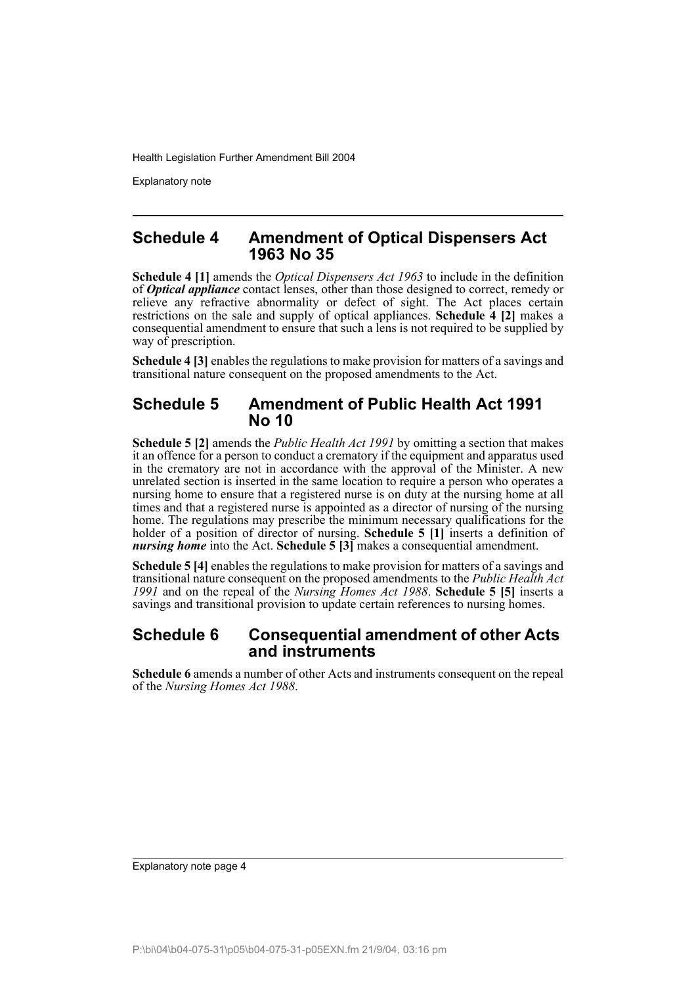Explanatory note

### **Schedule 4 Amendment of Optical Dispensers Act 1963 No 35**

**Schedule 4 [1]** amends the *Optical Dispensers Act 1963* to include in the definition of *Optical appliance* contact lenses, other than those designed to correct, remedy or relieve any refractive abnormality or defect of sight. The Act places certain restrictions on the sale and supply of optical appliances. **Schedule 4 [2]** makes a consequential amendment to ensure that such a lens is not required to be supplied by way of prescription.

**Schedule 4 [3]** enables the regulations to make provision for matters of a savings and transitional nature consequent on the proposed amendments to the Act.

#### **Schedule 5 Amendment of Public Health Act 1991 No 10**

**Schedule 5 [2]** amends the *Public Health Act 1991* by omitting a section that makes it an offence for a person to conduct a crematory if the equipment and apparatus used in the crematory are not in accordance with the approval of the Minister. A new unrelated section is inserted in the same location to require a person who operates a nursing home to ensure that a registered nurse is on duty at the nursing home at all times and that a registered nurse is appointed as a director of nursing of the nursing home. The regulations may prescribe the minimum necessary qualifications for the holder of a position of director of nursing. **Schedule 5 [1]** inserts a definition of *nursing home* into the Act. **Schedule 5 [3]** makes a consequential amendment.

**Schedule 5 [4]** enables the regulations to make provision for matters of a savings and transitional nature consequent on the proposed amendments to the *Public Health Act 1991* and on the repeal of the *Nursing Homes Act 1988*. **Schedule 5 [5]** inserts a savings and transitional provision to update certain references to nursing homes.

### **Schedule 6 Consequential amendment of other Acts and instruments**

**Schedule 6** amends a number of other Acts and instruments consequent on the repeal of the *Nursing Homes Act 1988*.

Explanatory note page 4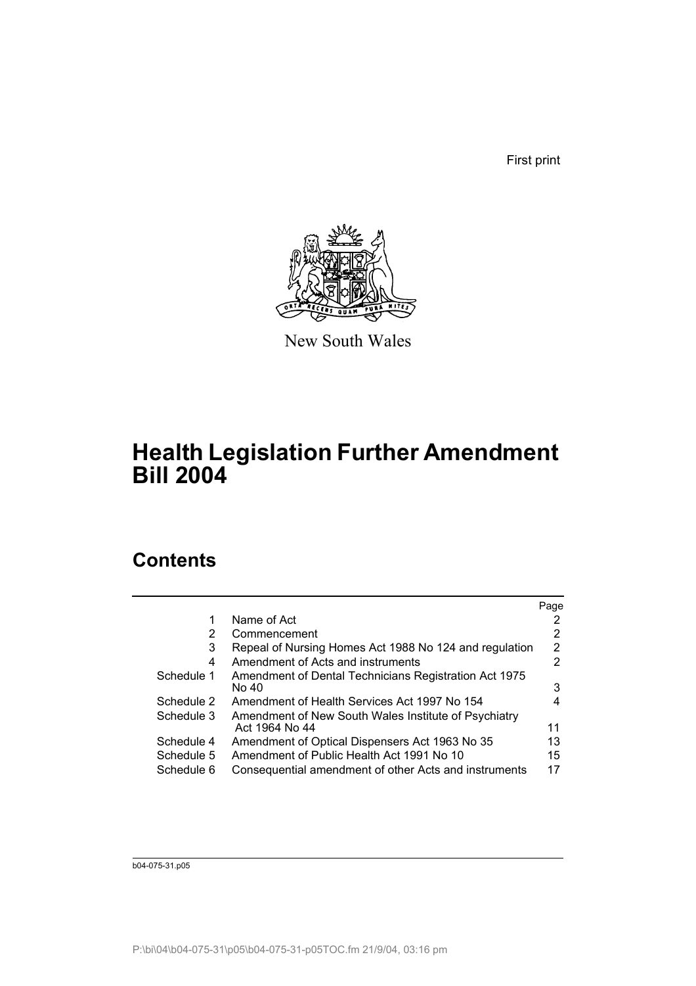First print



New South Wales

## **Health Legislation Further Amendment Bill 2004**

### **Contents**

|                                                                | Page |
|----------------------------------------------------------------|------|
| Name of Act                                                    |      |
| Commencement                                                   | 2    |
| Repeal of Nursing Homes Act 1988 No 124 and regulation         | 2    |
| Amendment of Acts and instruments                              | 2    |
| Amendment of Dental Technicians Registration Act 1975<br>No 40 | 3    |
| Amendment of Health Services Act 1997 No 154                   | 4    |
| Amendment of New South Wales Institute of Psychiatry           |      |
| Act 1964 No 44                                                 | 11   |
| Amendment of Optical Dispensers Act 1963 No 35                 | 13   |
| Amendment of Public Health Act 1991 No 10                      | 15   |
| Consequential amendment of other Acts and instruments          | 17   |
|                                                                |      |

b04-075-31.p05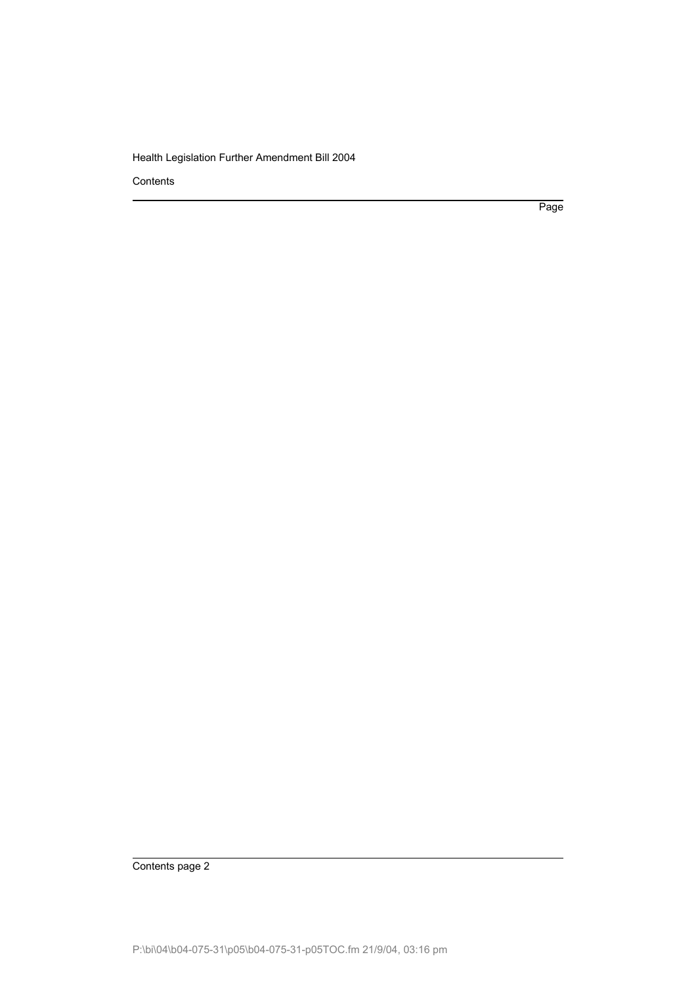**Contents** 

Page

Contents page 2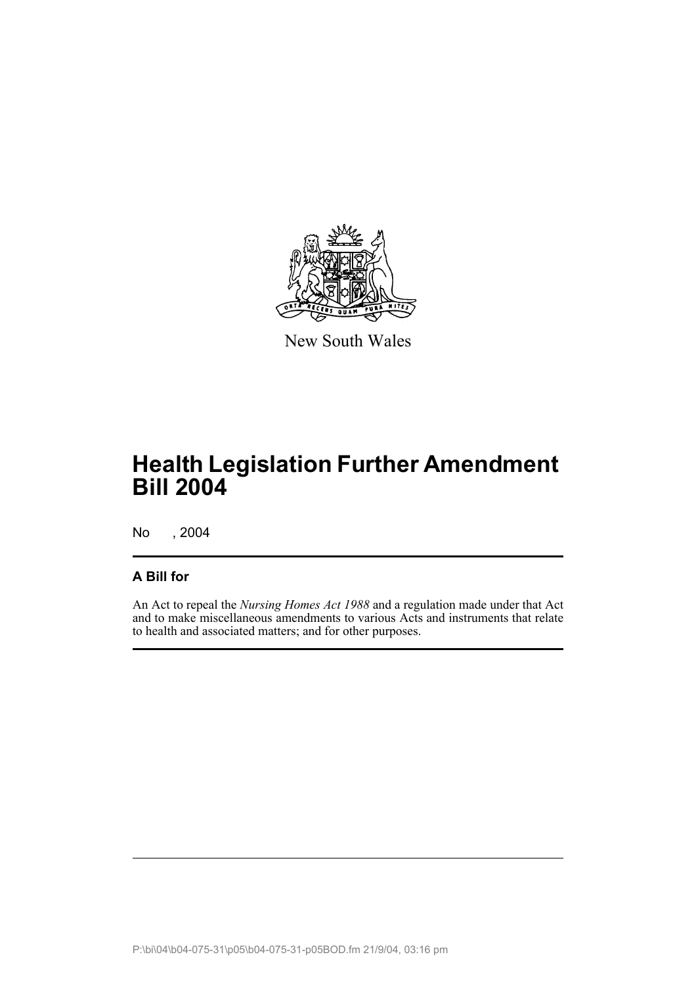

New South Wales

# **Health Legislation Further Amendment Bill 2004**

No , 2004

### **A Bill for**

An Act to repeal the *Nursing Homes Act 1988* and a regulation made under that Act and to make miscellaneous amendments to various Acts and instruments that relate to health and associated matters; and for other purposes.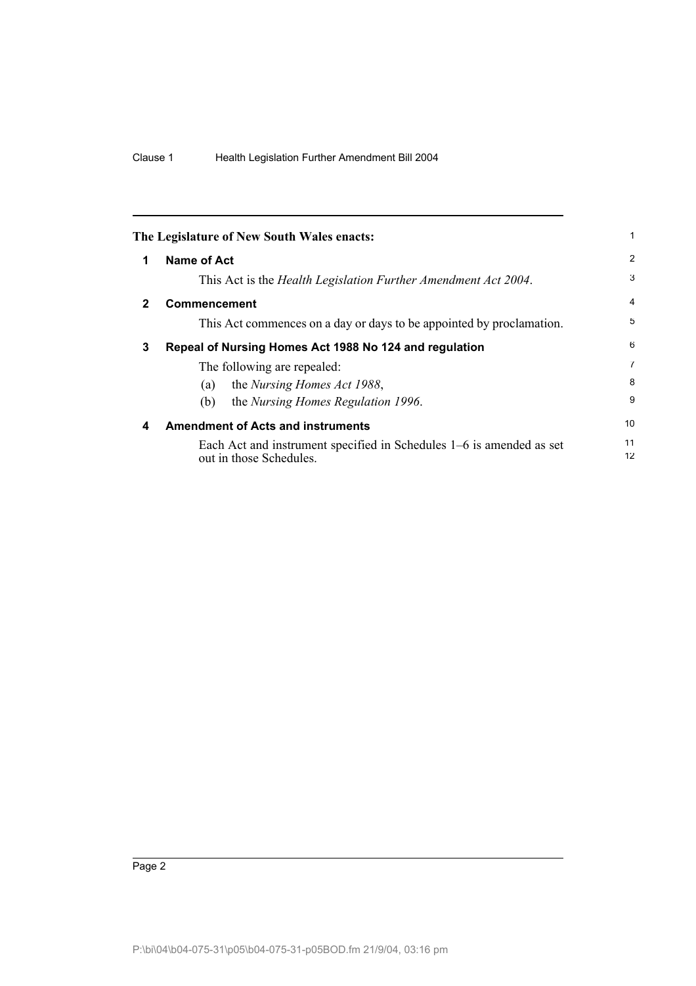|              | The Legislature of New South Wales enacts:                                                      |                |
|--------------|-------------------------------------------------------------------------------------------------|----------------|
| 1            | Name of Act                                                                                     | 2              |
|              | This Act is the <i>Health Legislation Further Amendment Act 2004</i> .                          | 3              |
| $\mathbf{2}$ | <b>Commencement</b>                                                                             | $\overline{4}$ |
|              | This Act commences on a day or days to be appointed by proclamation.                            | 5              |
| 3            | Repeal of Nursing Homes Act 1988 No 124 and regulation                                          | 6              |
|              | The following are repealed:                                                                     | 7              |
|              | the Nursing Homes Act 1988,<br>(a)                                                              | 8              |
|              | the Nursing Homes Regulation 1996.<br>(b)                                                       | 9              |
| 4            | <b>Amendment of Acts and instruments</b>                                                        | 10             |
|              | Each Act and instrument specified in Schedules 1–6 is amended as set<br>out in those Schedules. | 11<br>12       |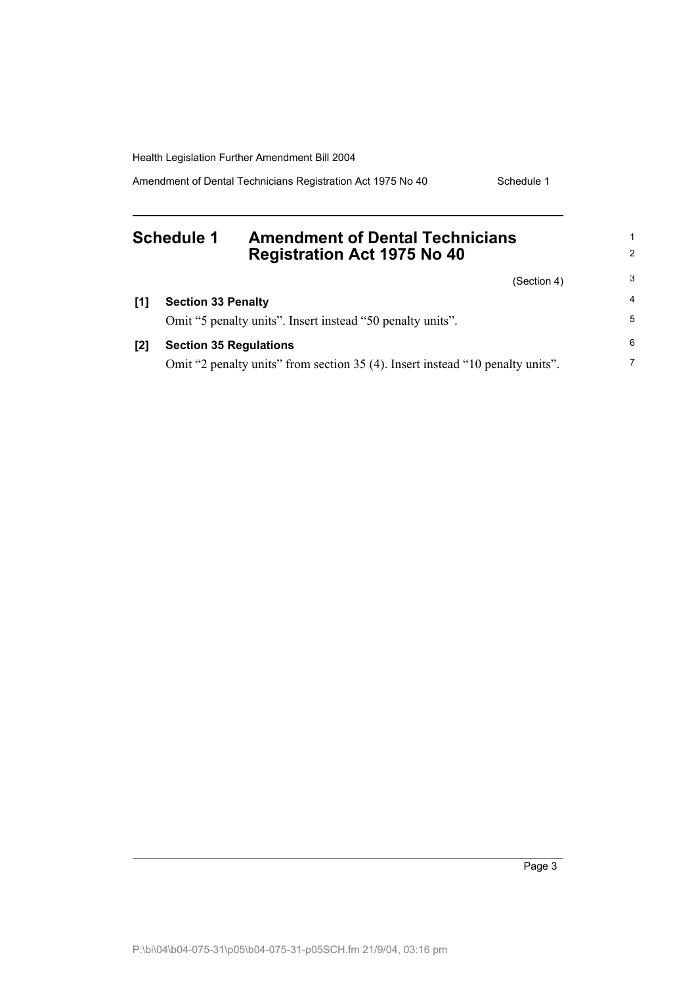Amendment of Dental Technicians Registration Act 1975 No 40 Schedule 1

#### **Schedule 1 Amendment of Dental Technicians Registration Act 1975 No 40** (Section 4) **[1] Section 33 Penalty** Omit "5 penalty units". Insert instead "50 penalty units". **[2] Section 35 Regulations** Omit "2 penalty units" from section 35 (4). Insert instead "10 penalty units". 1 2 3 4 5 6 7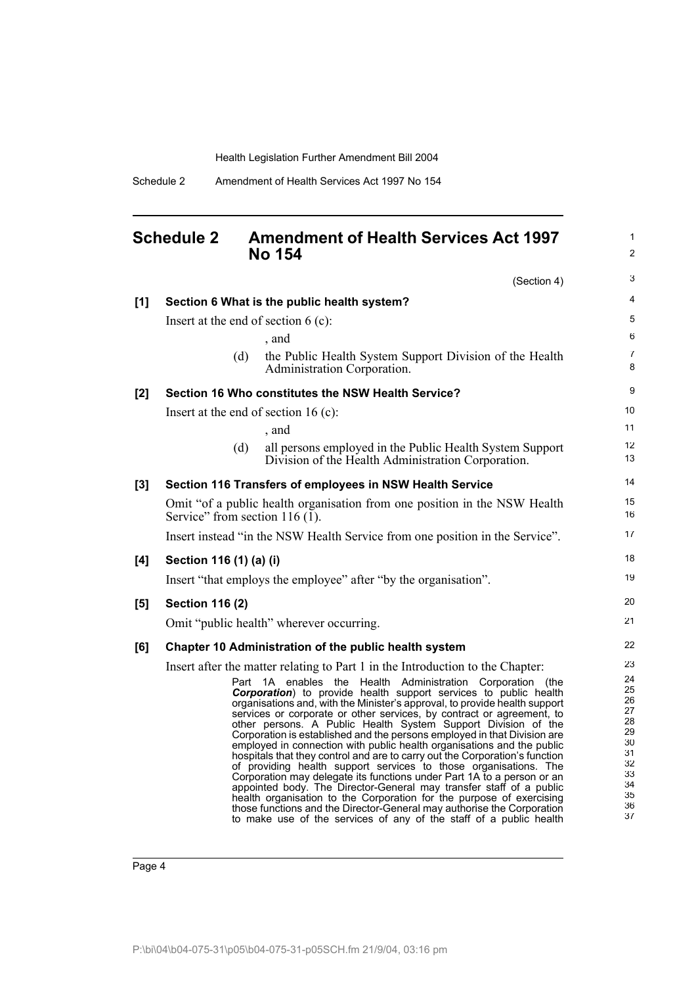### **Schedule 2 Amendment of Health Services Act 1997 No 154**

1 2

|     |                                       | (Section 4)                                                                                                                                     | 3                   |
|-----|---------------------------------------|-------------------------------------------------------------------------------------------------------------------------------------------------|---------------------|
| [1] |                                       | Section 6 What is the public health system?                                                                                                     | 4                   |
|     | Insert at the end of section $6$ (c): |                                                                                                                                                 | 5                   |
|     |                                       | , and                                                                                                                                           | 6                   |
|     | (d)                                   | the Public Health System Support Division of the Health<br>Administration Corporation.                                                          | $\overline{7}$<br>8 |
| [2] |                                       | Section 16 Who constitutes the NSW Health Service?                                                                                              | 9                   |
|     | Insert at the end of section 16 (c):  |                                                                                                                                                 | 10                  |
|     |                                       | , and                                                                                                                                           | 11                  |
|     | (d)                                   | all persons employed in the Public Health System Support<br>Division of the Health Administration Corporation.                                  | 12<br>13            |
| [3] |                                       | Section 116 Transfers of employees in NSW Health Service                                                                                        | 14                  |
|     | Service" from section 116 $(1)$ .     | Omit "of a public health organisation from one position in the NSW Health                                                                       | 15<br>16            |
|     |                                       | Insert instead "in the NSW Health Service from one position in the Service".                                                                    | 17                  |
| [4] | Section 116 (1) (a) (i)               |                                                                                                                                                 | 18                  |
|     |                                       | Insert "that employs the employee" after "by the organisation".                                                                                 | 19                  |
| [5] | <b>Section 116 (2)</b>                |                                                                                                                                                 | 20                  |
|     |                                       | Omit "public health" wherever occurring.                                                                                                        | 21                  |
| [6] |                                       | Chapter 10 Administration of the public health system                                                                                           | 22                  |
|     |                                       | Insert after the matter relating to Part 1 in the Introduction to the Chapter:                                                                  | 23                  |
|     |                                       | Part 1A enables the Health Administration Corporation (the                                                                                      | 24<br>25            |
|     |                                       | Corporation) to provide health support services to public health<br>organisations and, with the Minister's approval, to provide health support  | 26                  |
|     |                                       | services or corporate or other services, by contract or agreement, to                                                                           | 27<br>28            |
|     |                                       | other persons. A Public Health System Support Division of the<br>Corporation is established and the persons employed in that Division are       | 29                  |
|     |                                       | employed in connection with public health organisations and the public                                                                          | 30                  |
|     |                                       | hospitals that they control and are to carry out the Corporation's function<br>of providing health support services to those organisations. The | 31<br>32            |
|     |                                       | Corporation may delegate its functions under Part 1A to a person or an                                                                          | 33                  |
|     |                                       | appointed body. The Director-General may transfer staff of a public                                                                             | 34<br>35            |
|     |                                       | health organisation to the Corporation for the purpose of exercising<br>those functions and the Director-General may authorise the Corporation  | 36                  |
|     |                                       | to make use of the services of any of the staff of a public health                                                                              | 37                  |

to make use of the services of any of the staff of a public health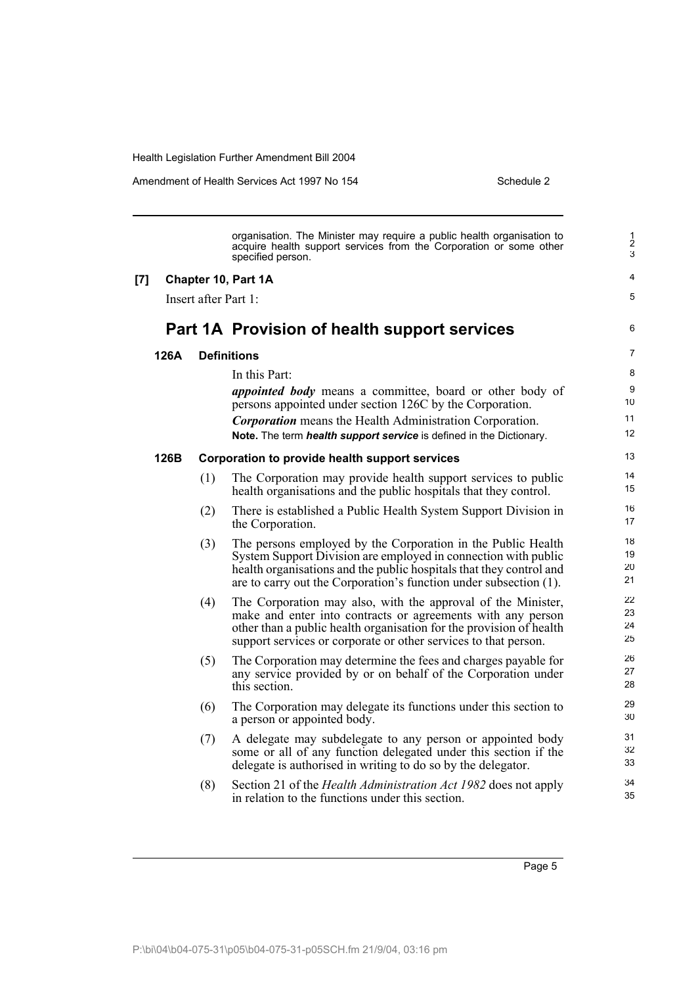Amendment of Health Services Act 1997 No 154 Schedule 2

|       |      |                      | organisation. The Minister may require a public health organisation to<br>acquire health support services from the Corporation or some other<br>specified person.                                                                                                                      | $\frac{1}{2}$<br>3       |
|-------|------|----------------------|----------------------------------------------------------------------------------------------------------------------------------------------------------------------------------------------------------------------------------------------------------------------------------------|--------------------------|
| $[7]$ |      |                      | Chapter 10, Part 1A                                                                                                                                                                                                                                                                    | 4                        |
|       |      | Insert after Part 1: |                                                                                                                                                                                                                                                                                        | 5                        |
|       |      |                      | Part 1A Provision of health support services                                                                                                                                                                                                                                           | 6                        |
|       | 126A |                      | <b>Definitions</b>                                                                                                                                                                                                                                                                     | $\overline{7}$           |
|       |      |                      | In this Part:<br><i>appointed body</i> means a committee, board or other body of<br>persons appointed under section 126C by the Corporation.<br><b>Corporation</b> means the Health Administration Corporation.<br>Note. The term health support service is defined in the Dictionary. | 8<br>9<br>10<br>11<br>12 |
|       | 126B |                      | Corporation to provide health support services                                                                                                                                                                                                                                         | 13                       |
|       |      | (1)                  | The Corporation may provide health support services to public<br>health organisations and the public hospitals that they control.                                                                                                                                                      | 14<br>15                 |
|       |      | (2)                  | There is established a Public Health System Support Division in<br>the Corporation.                                                                                                                                                                                                    | 16<br>17                 |
|       |      | (3)                  | The persons employed by the Corporation in the Public Health<br>System Support Division are employed in connection with public<br>health organisations and the public hospitals that they control and<br>are to carry out the Corporation's function under subsection (1).             | 18<br>19<br>20<br>21     |
|       |      | (4)                  | The Corporation may also, with the approval of the Minister,<br>make and enter into contracts or agreements with any person<br>other than a public health organisation for the provision of health<br>support services or corporate or other services to that person.                  | 22<br>23<br>24<br>25     |
|       |      | (5)                  | The Corporation may determine the fees and charges payable for<br>any service provided by or on behalf of the Corporation under<br>this section.                                                                                                                                       | 26<br>27<br>28           |
|       |      | (6)                  | The Corporation may delegate its functions under this section to<br>a person or appointed body.                                                                                                                                                                                        | 29<br>30                 |
|       |      | (7)                  | A delegate may subdelegate to any person or appointed body<br>some or all of any function delegated under this section if the<br>delegate is authorised in writing to do so by the delegator.                                                                                          | 31<br>32<br>33           |
|       |      | (8)                  | Section 21 of the <i>Health Administration Act 1982</i> does not apply<br>in relation to the functions under this section.                                                                                                                                                             | 34<br>35                 |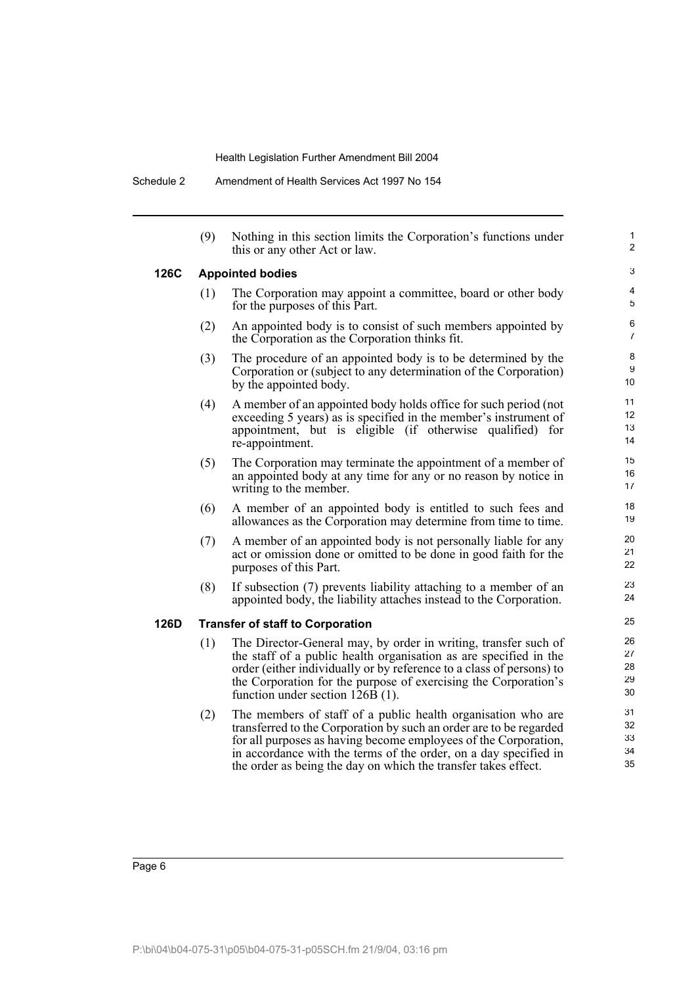|      | (9) | Nothing in this section limits the Corporation's functions under<br>this or any other Act or law.                                                                                                                                                                                                                                           | $\mathbf{1}$<br>2          |
|------|-----|---------------------------------------------------------------------------------------------------------------------------------------------------------------------------------------------------------------------------------------------------------------------------------------------------------------------------------------------|----------------------------|
| 126C |     | <b>Appointed bodies</b>                                                                                                                                                                                                                                                                                                                     | 3                          |
|      | (1) | The Corporation may appoint a committee, board or other body<br>for the purposes of this Part.                                                                                                                                                                                                                                              | 4<br>5                     |
|      | (2) | An appointed body is to consist of such members appointed by<br>the Corporation as the Corporation thinks fit.                                                                                                                                                                                                                              | 6<br>7                     |
|      | (3) | The procedure of an appointed body is to be determined by the<br>Corporation or (subject to any determination of the Corporation)<br>by the appointed body.                                                                                                                                                                                 | 8<br>9<br>10               |
|      | (4) | A member of an appointed body holds office for such period (not<br>exceeding 5 years) as is specified in the member's instrument of<br>appointment, but is eligible (if otherwise qualified) for<br>re-appointment.                                                                                                                         | 11<br>12<br>13<br>14       |
|      | (5) | The Corporation may terminate the appointment of a member of<br>an appointed body at any time for any or no reason by notice in<br>writing to the member.                                                                                                                                                                                   | 15<br>16<br>17             |
|      | (6) | A member of an appointed body is entitled to such fees and<br>allowances as the Corporation may determine from time to time.                                                                                                                                                                                                                | 18<br>19                   |
|      | (7) | A member of an appointed body is not personally liable for any<br>act or omission done or omitted to be done in good faith for the<br>purposes of this Part.                                                                                                                                                                                | 20<br>21<br>22             |
|      | (8) | If subsection (7) prevents liability attaching to a member of an<br>appointed body, the liability attaches instead to the Corporation.                                                                                                                                                                                                      | 23<br>24                   |
| 126D |     | <b>Transfer of staff to Corporation</b>                                                                                                                                                                                                                                                                                                     | 25                         |
|      | (1) | The Director-General may, by order in writing, transfer such of<br>the staff of a public health organisation as are specified in the<br>order (either individually or by reference to a class of persons) to<br>the Corporation for the purpose of exercising the Corporation's<br>function under section 126B (1).                         | 26<br>27<br>28<br>29<br>30 |
|      | (2) | The members of staff of a public health organisation who are<br>transferred to the Corporation by such an order are to be regarded<br>for all purposes as having become employees of the Corporation,<br>in accordance with the terms of the order, on a day specified in<br>the order as being the day on which the transfer takes effect. | 31<br>32<br>33<br>34<br>35 |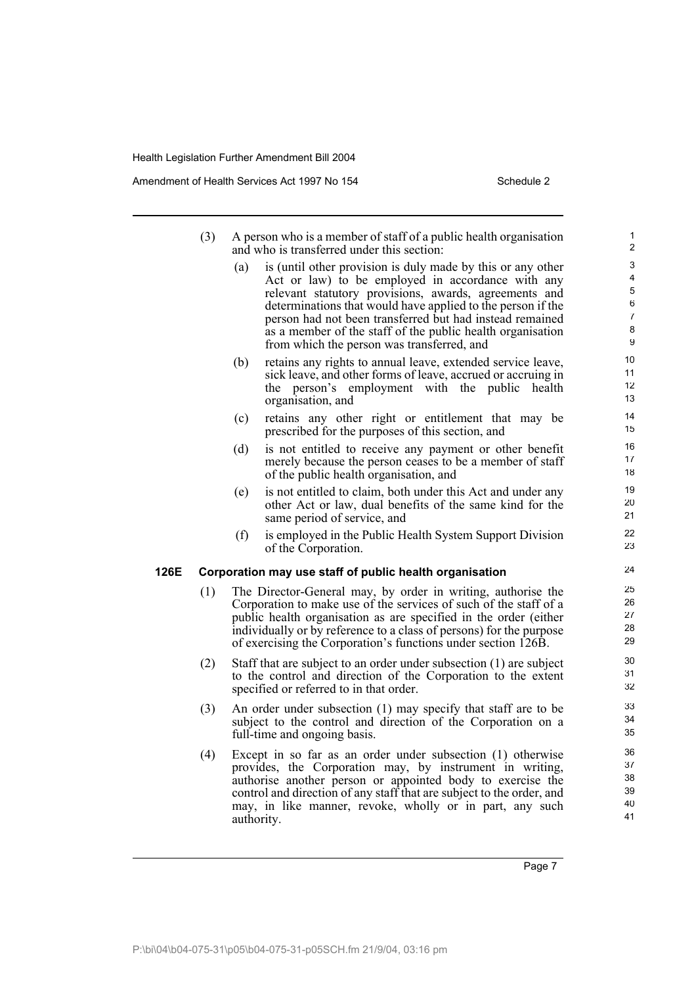Amendment of Health Services Act 1997 No 154 Schedule 2

- (3) A person who is a member of staff of a public health organisation and who is transferred under this section:
	- (a) is (until other provision is duly made by this or any other Act or law) to be employed in accordance with any relevant statutory provisions, awards, agreements and determinations that would have applied to the person if the person had not been transferred but had instead remained as a member of the staff of the public health organisation from which the person was transferred, and
	- (b) retains any rights to annual leave, extended service leave, sick leave, and other forms of leave, accrued or accruing in the person's employment with the public health organisation, and
	- (c) retains any other right or entitlement that may be prescribed for the purposes of this section, and
	- (d) is not entitled to receive any payment or other benefit merely because the person ceases to be a member of staff of the public health organisation, and
	- (e) is not entitled to claim, both under this Act and under any other Act or law, dual benefits of the same kind for the same period of service, and
	- (f) is employed in the Public Health System Support Division of the Corporation.

#### **126E Corporation may use staff of public health organisation**

- (1) The Director-General may, by order in writing, authorise the Corporation to make use of the services of such of the staff of a public health organisation as are specified in the order (either individually or by reference to a class of persons) for the purpose of exercising the Corporation's functions under section 126B.
- (2) Staff that are subject to an order under subsection (1) are subject to the control and direction of the Corporation to the extent specified or referred to in that order.
- (3) An order under subsection (1) may specify that staff are to be subject to the control and direction of the Corporation on a full-time and ongoing basis.
- (4) Except in so far as an order under subsection (1) otherwise provides, the Corporation may, by instrument in writing, authorise another person or appointed body to exercise the control and direction of any staff that are subject to the order, and may, in like manner, revoke, wholly or in part, any such authority.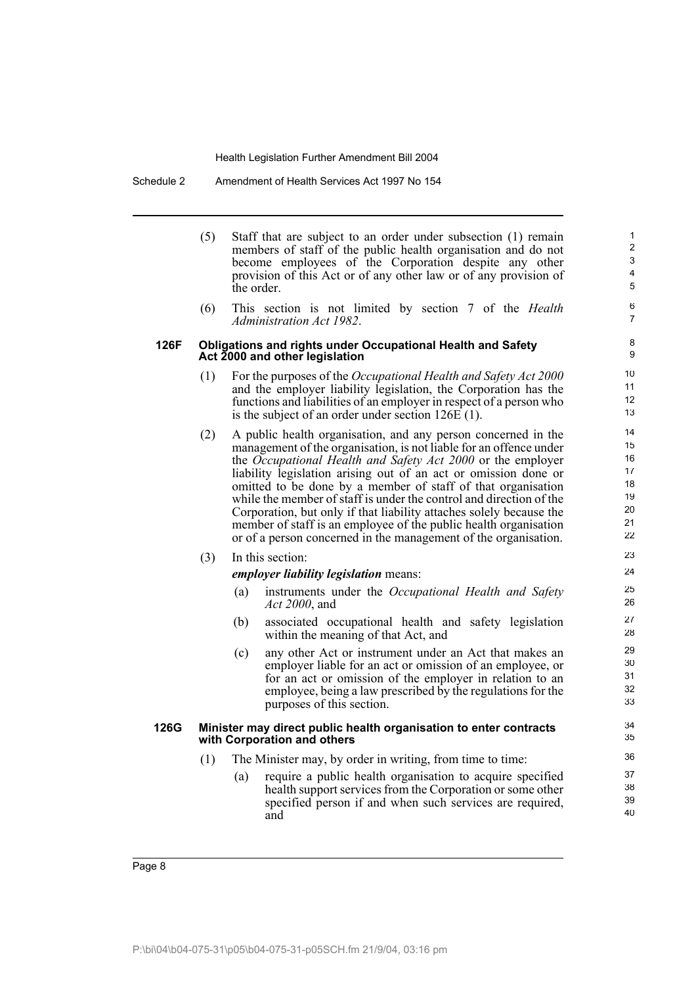Schedule 2 Amendment of Health Services Act 1997 No 154

|      | (5) | Staff that are subject to an order under subsection (1) remain<br>members of staff of the public health organisation and do not<br>become employees of the Corporation despite any other<br>provision of this Act or of any other law or of any provision of<br>the order.                                                                                                                                                                                                                                                                                                                                                 | 1<br>2<br>3<br>4<br>5                              |
|------|-----|----------------------------------------------------------------------------------------------------------------------------------------------------------------------------------------------------------------------------------------------------------------------------------------------------------------------------------------------------------------------------------------------------------------------------------------------------------------------------------------------------------------------------------------------------------------------------------------------------------------------------|----------------------------------------------------|
|      | (6) | This section is not limited by section 7 of the <i>Health</i><br>Administration Act 1982.                                                                                                                                                                                                                                                                                                                                                                                                                                                                                                                                  | 6<br>$\overline{7}$                                |
| 126F |     | <b>Obligations and rights under Occupational Health and Safety</b><br>Act 2000 and other legislation                                                                                                                                                                                                                                                                                                                                                                                                                                                                                                                       | 8<br>9                                             |
|      | (1) | For the purposes of the <i>Occupational Health and Safety Act</i> 2000<br>and the employer liability legislation, the Corporation has the<br>functions and liabilities of an employer in respect of a person who<br>is the subject of an order under section $126E(1)$ .                                                                                                                                                                                                                                                                                                                                                   | 10<br>11<br>12<br>13                               |
|      | (2) | A public health organisation, and any person concerned in the<br>management of the organisation, is not liable for an offence under<br>the Occupational Health and Safety Act 2000 or the employer<br>liability legislation arising out of an act or omission done or<br>omitted to be done by a member of staff of that organisation<br>while the member of staff is under the control and direction of the<br>Corporation, but only if that liability attaches solely because the<br>member of staff is an employee of the public health organisation<br>or of a person concerned in the management of the organisation. | 14<br>15<br>16<br>17<br>18<br>19<br>20<br>21<br>22 |
|      | (3) | In this section:                                                                                                                                                                                                                                                                                                                                                                                                                                                                                                                                                                                                           | 23                                                 |
|      |     | <i>employer liability legislation means:</i>                                                                                                                                                                                                                                                                                                                                                                                                                                                                                                                                                                               | 24                                                 |
|      |     | instruments under the Occupational Health and Safety<br>(a)<br><i>Act 2000</i> , and                                                                                                                                                                                                                                                                                                                                                                                                                                                                                                                                       | 25<br>26                                           |
|      |     | associated occupational health and safety legislation<br>(b)<br>within the meaning of that Act, and                                                                                                                                                                                                                                                                                                                                                                                                                                                                                                                        | 27<br>28                                           |
|      |     | (c)<br>any other Act or instrument under an Act that makes an<br>employer liable for an act or omission of an employee, or<br>for an act or omission of the employer in relation to an<br>employee, being a law prescribed by the regulations for the<br>purposes of this section.                                                                                                                                                                                                                                                                                                                                         | 29<br>30<br>31<br>32<br>33                         |
| 126G |     | Minister may direct public health organisation to enter contracts<br>with Corporation and others                                                                                                                                                                                                                                                                                                                                                                                                                                                                                                                           | 34<br>35                                           |
|      | (1) | The Minister may, by order in writing, from time to time:                                                                                                                                                                                                                                                                                                                                                                                                                                                                                                                                                                  | 36                                                 |
|      |     | require a public health organisation to acquire specified<br>(a)<br>health support services from the Corporation or some other<br>specified person if and when such services are required,<br>and                                                                                                                                                                                                                                                                                                                                                                                                                          | 37<br>38<br>39<br>40                               |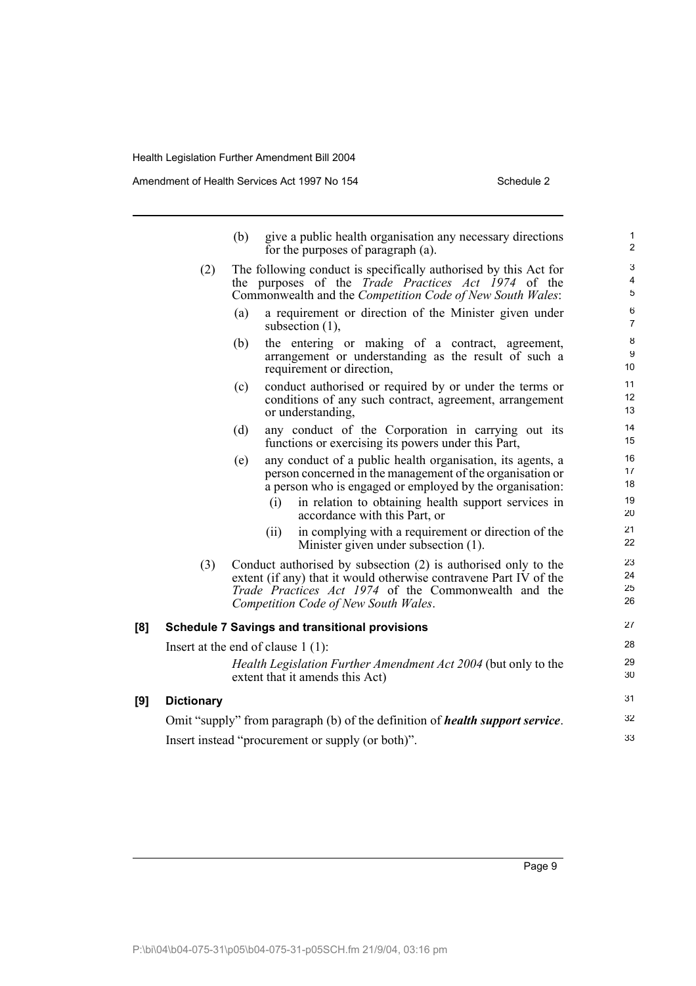Amendment of Health Services Act 1997 No 154 Schedule 2

|     |                   | (b)<br>give a public health organisation any necessary directions<br>for the purposes of paragraph (a).                                                                                                                             | 1<br>$\overline{2}$  |
|-----|-------------------|-------------------------------------------------------------------------------------------------------------------------------------------------------------------------------------------------------------------------------------|----------------------|
|     | (2)               | The following conduct is specifically authorised by this Act for<br>the purposes of the <i>Trade Practices Act 1974</i> of the<br>Commonwealth and the Competition Code of New South Wales:                                         | 3<br>4<br>5          |
|     |                   | a requirement or direction of the Minister given under<br>(a)<br>subsection $(1)$ ,                                                                                                                                                 | 6<br>$\overline{7}$  |
|     |                   | the entering or making of a contract, agreement,<br>(b)<br>arrangement or understanding as the result of such a<br>requirement or direction,                                                                                        | 8<br>9<br>10         |
|     |                   | conduct authorised or required by or under the terms or<br>(c)<br>conditions of any such contract, agreement, arrangement<br>or understanding,                                                                                      | 11<br>12<br>13       |
|     |                   | (d)<br>any conduct of the Corporation in carrying out its<br>functions or exercising its powers under this Part,                                                                                                                    | 14<br>15             |
|     |                   | any conduct of a public health organisation, its agents, a<br>(e)<br>person concerned in the management of the organisation or<br>a person who is engaged or employed by the organisation:                                          | 16<br>17<br>18       |
|     |                   | in relation to obtaining health support services in<br>(i)<br>accordance with this Part, or                                                                                                                                         | 19<br>20             |
|     |                   | in complying with a requirement or direction of the<br>(ii)<br>Minister given under subsection (1).                                                                                                                                 | 21<br>22             |
|     | (3)               | Conduct authorised by subsection (2) is authorised only to the<br>extent (if any) that it would otherwise contravene Part IV of the<br>Trade Practices Act 1974 of the Commonwealth and the<br>Competition Code of New South Wales. | 23<br>24<br>25<br>26 |
| [8] |                   | <b>Schedule 7 Savings and transitional provisions</b>                                                                                                                                                                               | 27                   |
|     |                   | Insert at the end of clause $1(1)$ :                                                                                                                                                                                                | 28                   |
|     |                   | <i>Health Legislation Further Amendment Act 2004</i> (but only to the<br>extent that it amends this Act)                                                                                                                            | 29<br>30             |
| [9] | <b>Dictionary</b> |                                                                                                                                                                                                                                     | 31                   |
|     |                   | Omit "supply" from paragraph (b) of the definition of <i>health support service</i> .                                                                                                                                               | 32                   |
|     |                   | Insert instead "procurement or supply (or both)".                                                                                                                                                                                   | 33                   |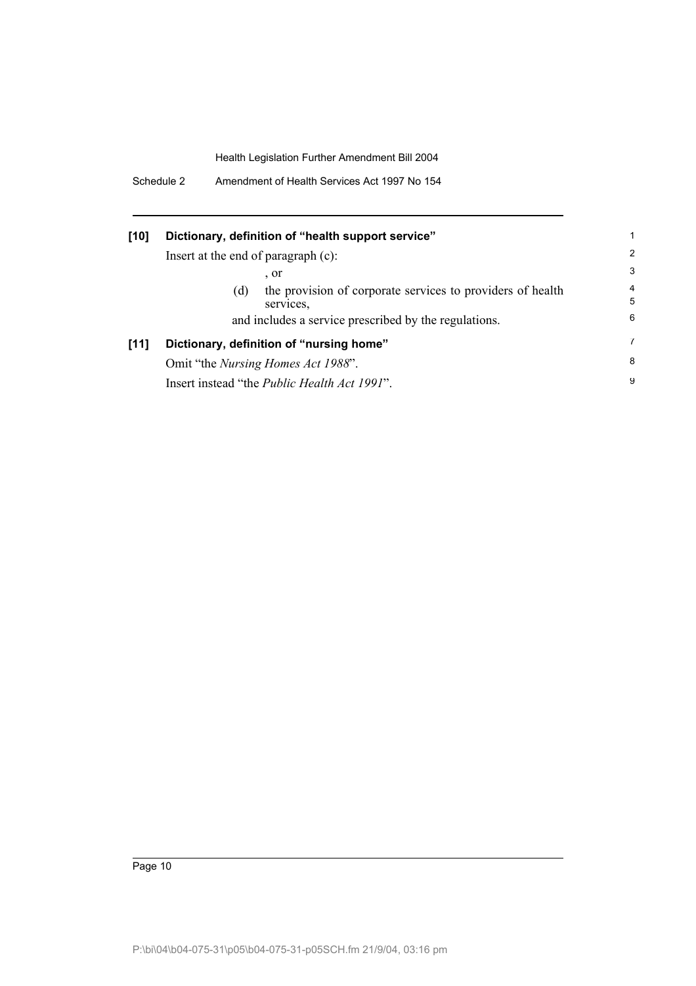|  | Schedule 2 | Amendment of Health Services Act 1997 No 154 |
|--|------------|----------------------------------------------|
|--|------------|----------------------------------------------|

| [10] | Dictionary, definition of "health support service"                             |                |
|------|--------------------------------------------------------------------------------|----------------|
|      | Insert at the end of paragraph (c):                                            | 2              |
|      | $\cdot$ or                                                                     | 3              |
|      | the provision of corporate services to providers of health<br>(d)<br>services. | 4<br>5         |
|      | and includes a service prescribed by the regulations.                          | 6              |
| [11] | Dictionary, definition of "nursing home"                                       | $\overline{7}$ |
|      | Omit "the <i>Nursing Homes Act 1988"</i> .                                     | 8              |
|      | Insert instead "the <i>Public Health Act 1991"</i> .                           | 9              |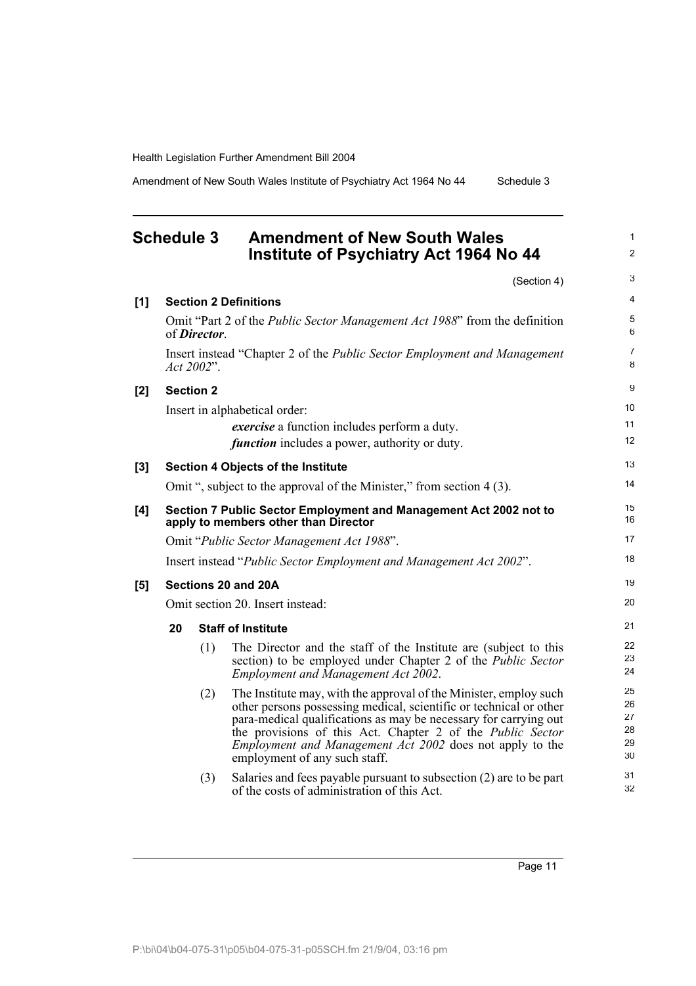Amendment of New South Wales Institute of Psychiatry Act 1964 No 44 Schedule 3

### **Schedule 3 Amendment of New South Wales Institute of Psychiatry Act 1964 No 44**

(Section 4) **[1] Section 2 Definitions** Omit "Part 2 of the *Public Sector Management Act 1988*" from the definition of *Director*. Insert instead "Chapter 2 of the *Public Sector Employment and Management Act 2002*". **[2] Section 2** Insert in alphabetical order: *exercise* a function includes perform a duty. *function* includes a power, authority or duty. **[3] Section 4 Objects of the Institute** Omit ", subject to the approval of the Minister," from section 4 (3). **[4] Section 7 Public Sector Employment and Management Act 2002 not to apply to members other than Director** Omit "*Public Sector Management Act 1988*". Insert instead "*Public Sector Employment and Management Act 2002*". **[5] Sections 20 and 20A** Omit section 20. Insert instead: **20 Staff of Institute** (1) The Director and the staff of the Institute are (subject to this section) to be employed under Chapter 2 of the *Public Sector Employment and Management Act 2002*. (2) The Institute may, with the approval of the Minister, employ such other persons possessing medical, scientific or technical or other para-medical qualifications as may be necessary for carrying out the provisions of this Act. Chapter 2 of the *Public Sector Employment and Management Act 2002* does not apply to the employment of any such staff. (3) Salaries and fees payable pursuant to subsection (2) are to be part of the costs of administration of this Act. 3 4 5 6 7 8 9 10 11 12 13 14 15 16 17 18 19 20  $21$ 22 23 24 25 26 27 28 29 30 31 32

Page 11

1 2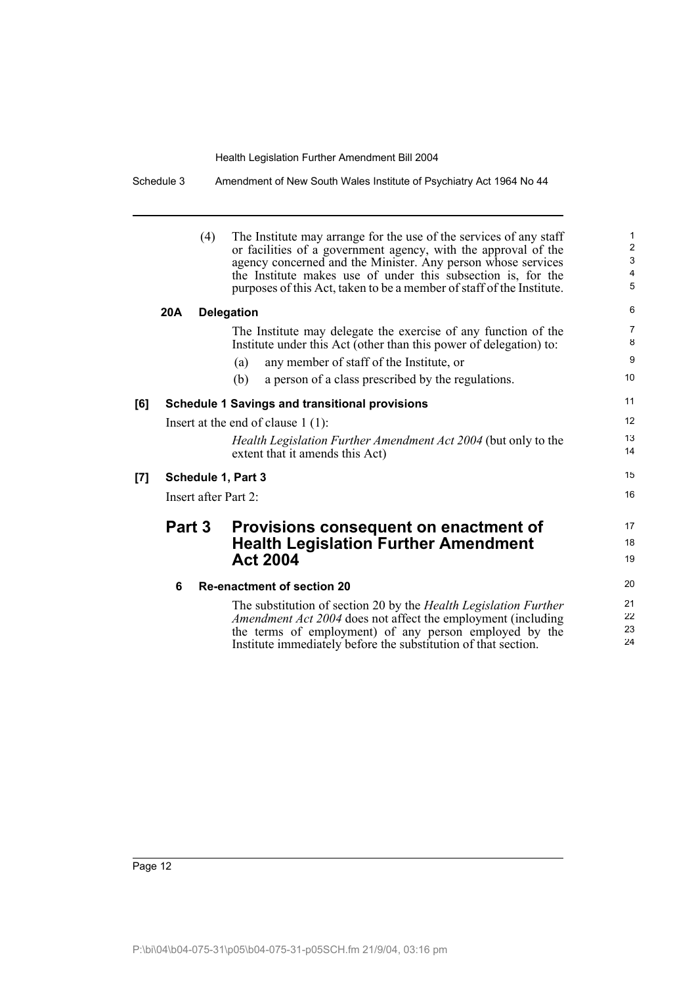Schedule 3 Amendment of New South Wales Institute of Psychiatry Act 1964 No 44

17 18 19

(4) The Institute may arrange for the use of the services of any staff or facilities of a government agency, with the approval of the agency concerned and the Minister. Any person whose services the Institute makes use of under this subsection is, for the purposes of this Act, taken to be a member of staff of the Institute. **20A Delegation** The Institute may delegate the exercise of any function of the Institute under this Act (other than this power of delegation) to: (a) any member of staff of the Institute, or (b) a person of a class prescribed by the regulations. **[6] Schedule 1 Savings and transitional provisions** Insert at the end of clause 1 (1): *Health Legislation Further Amendment Act 2004* (but only to the extent that it amends this Act) **[7] Schedule 1, Part 3** Insert after Part 2: **Part 3 Provisions consequent on enactment of Health Legislation Further Amendment Act 2004 6 Re-enactment of section 20** The substitution of section 20 by the *Health Legislation Further Amendment Act 2004* does not affect the employment (including the terms of employment) of any person employed by the Institute immediately before the substitution of that section.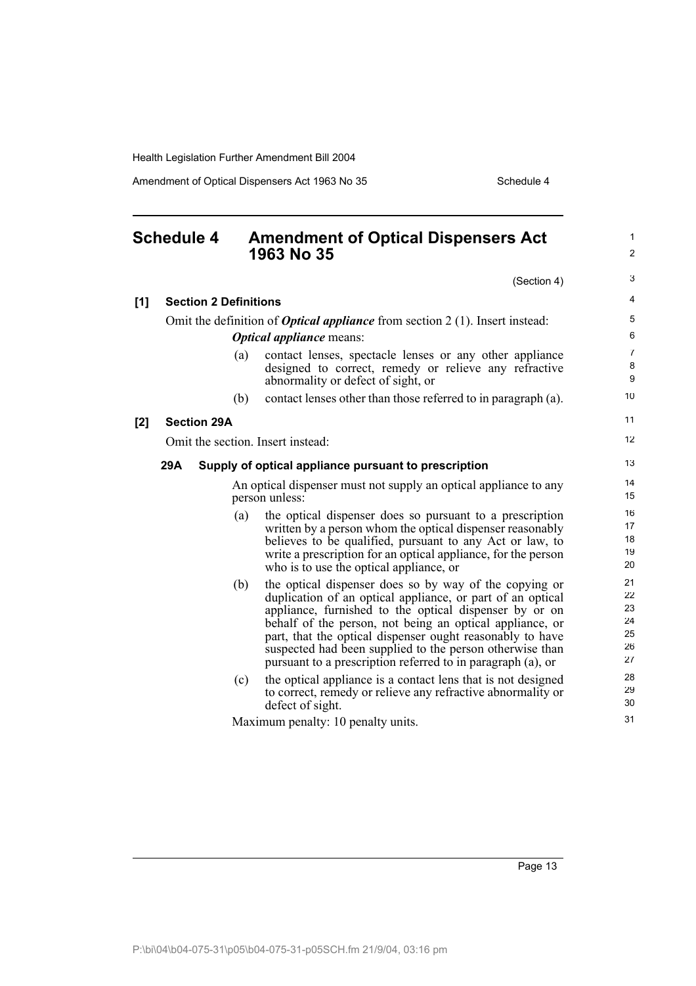$[1]$ 

**[2]** 

Amendment of Optical Dispensers Act 1963 No 35 Schedule 4

### **Schedule 4 Amendment of Optical Dispensers Act 1963 No 35**

(Section 4)

1 2

3

| <b>Section 2 Definitions</b>                                                          |                                                                                                                                                                                                                                                                                                                                                                                                                                    | $\overline{4}$                         |  |  |
|---------------------------------------------------------------------------------------|------------------------------------------------------------------------------------------------------------------------------------------------------------------------------------------------------------------------------------------------------------------------------------------------------------------------------------------------------------------------------------------------------------------------------------|----------------------------------------|--|--|
| Omit the definition of <b>Optical appliance</b> from section $2(1)$ . Insert instead: |                                                                                                                                                                                                                                                                                                                                                                                                                                    |                                        |  |  |
|                                                                                       | <b>Optical appliance means:</b>                                                                                                                                                                                                                                                                                                                                                                                                    | 6                                      |  |  |
| (a)                                                                                   | contact lenses, spectacle lenses or any other appliance<br>designed to correct, remedy or relieve any refractive<br>abnormality or defect of sight, or                                                                                                                                                                                                                                                                             | $\overline{7}$<br>8<br>9               |  |  |
| (b)                                                                                   | contact lenses other than those referred to in paragraph (a).                                                                                                                                                                                                                                                                                                                                                                      | 10 <sup>1</sup>                        |  |  |
| <b>Section 29A</b>                                                                    |                                                                                                                                                                                                                                                                                                                                                                                                                                    | 11                                     |  |  |
| Omit the section. Insert instead:                                                     |                                                                                                                                                                                                                                                                                                                                                                                                                                    | 12                                     |  |  |
| 29A                                                                                   | Supply of optical appliance pursuant to prescription                                                                                                                                                                                                                                                                                                                                                                               | 13                                     |  |  |
|                                                                                       | An optical dispenser must not supply an optical appliance to any<br>person unless:                                                                                                                                                                                                                                                                                                                                                 | 14<br>15                               |  |  |
| (a)                                                                                   | the optical dispenser does so pursuant to a prescription<br>written by a person whom the optical dispenser reasonably<br>believes to be qualified, pursuant to any Act or law, to<br>write a prescription for an optical appliance, for the person<br>who is to use the optical appliance, or                                                                                                                                      | 16<br>17<br>18<br>19<br>20             |  |  |
| (b)                                                                                   | the optical dispenser does so by way of the copying or<br>duplication of an optical appliance, or part of an optical<br>appliance, furnished to the optical dispenser by or on<br>behalf of the person, not being an optical appliance, or<br>part, that the optical dispenser ought reasonably to have<br>suspected had been supplied to the person otherwise than<br>pursuant to a prescription referred to in paragraph (a), or | 21<br>22<br>23<br>24<br>25<br>26<br>27 |  |  |
| (c)                                                                                   | the optical appliance is a contact lens that is not designed<br>to correct, remedy or relieve any refractive abnormality or<br>defect of sight.                                                                                                                                                                                                                                                                                    | 28<br>29<br>30                         |  |  |
|                                                                                       | Maximum penalty: 10 penalty units.                                                                                                                                                                                                                                                                                                                                                                                                 | 31                                     |  |  |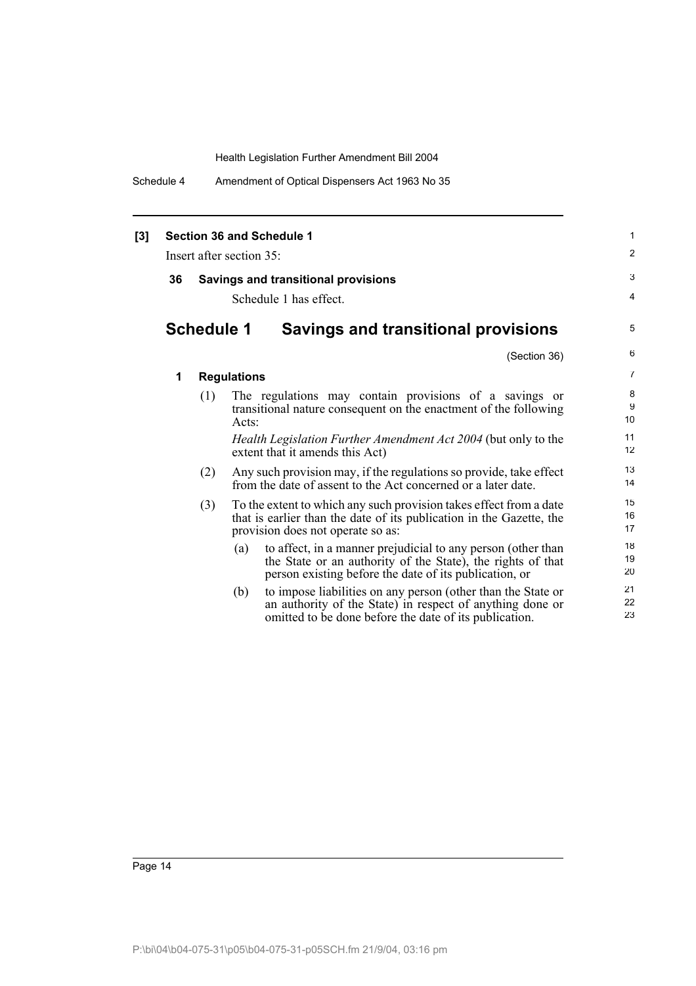Schedule 4 Amendment of Optical Dispensers Act 1963 No 35

| [3] | Section 36 and Schedule 1 |                   |                        | $\mathbf{1}$                                                                                                                                                                          |                |
|-----|---------------------------|-------------------|------------------------|---------------------------------------------------------------------------------------------------------------------------------------------------------------------------------------|----------------|
|     | Insert after section 35:  |                   |                        | 2                                                                                                                                                                                     |                |
|     | 36                        |                   |                        | <b>Savings and transitional provisions</b>                                                                                                                                            | 3              |
|     |                           |                   | Schedule 1 has effect. |                                                                                                                                                                                       | 4              |
|     |                           | <b>Schedule 1</b> |                        | <b>Savings and transitional provisions</b>                                                                                                                                            | 5              |
|     |                           |                   |                        | (Section 36)                                                                                                                                                                          | 6              |
|     | 1                         |                   | <b>Regulations</b>     |                                                                                                                                                                                       | $\overline{7}$ |
|     |                           | (1)               | Acts:                  | The regulations may contain provisions of a savings or<br>transitional nature consequent on the enactment of the following                                                            | 8<br>9<br>10   |
|     |                           |                   |                        | <i>Health Legislation Further Amendment Act 2004</i> (but only to the<br>extent that it amends this Act)                                                                              | 11<br>12       |
|     |                           | (2)               |                        | Any such provision may, if the regulations so provide, take effect<br>from the date of assent to the Act concerned or a later date.                                                   | 13<br>14       |
|     |                           | (3)               |                        | To the extent to which any such provision takes effect from a date<br>that is earlier than the date of its publication in the Gazette, the<br>provision does not operate so as:       | 15<br>16<br>17 |
|     |                           |                   | (a)                    | to affect, in a manner prejudicial to any person (other than<br>the State or an authority of the State), the rights of that<br>person existing before the date of its publication, or | 18<br>19<br>20 |
|     |                           |                   | (b)                    | to impose liabilities on any person (other than the State or<br>an authority of the State) in respect of anything done or<br>omitted to be done before the date of its publication.   | 21<br>22<br>23 |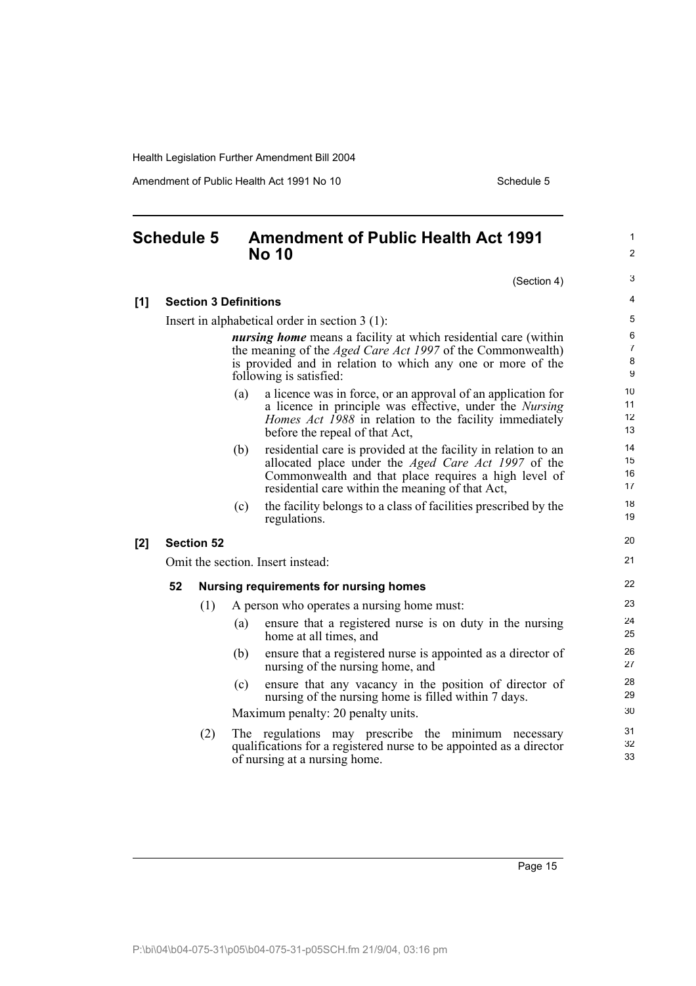Amendment of Public Health Act 1991 No 10 Schedule 5

### **Schedule 5 Amendment of Public Health Act 1991 No 10**

31 32 33

|                                                  |                                                                                                                                                                                                                                       |                              |                                   | (Section 4)                                                                                                                                                                                                                              |  |
|--------------------------------------------------|---------------------------------------------------------------------------------------------------------------------------------------------------------------------------------------------------------------------------------------|------------------------------|-----------------------------------|------------------------------------------------------------------------------------------------------------------------------------------------------------------------------------------------------------------------------------------|--|
| [1]                                              |                                                                                                                                                                                                                                       | <b>Section 3 Definitions</b> |                                   |                                                                                                                                                                                                                                          |  |
| Insert in alphabetical order in section $3(1)$ : |                                                                                                                                                                                                                                       |                              |                                   |                                                                                                                                                                                                                                          |  |
|                                                  | <i>nursing home</i> means a facility at which residential care (within<br>the meaning of the <i>Aged Care Act 1997</i> of the Commonwealth)<br>is provided and in relation to which any one or more of the<br>following is satisfied: |                              |                                   |                                                                                                                                                                                                                                          |  |
|                                                  |                                                                                                                                                                                                                                       |                              | (a)                               | a licence was in force, or an approval of an application for<br>a licence in principle was effective, under the <i>Nursing</i><br><i>Homes Act 1988</i> in relation to the facility immediately<br>before the repeal of that Act,        |  |
|                                                  |                                                                                                                                                                                                                                       |                              | (b)                               | residential care is provided at the facility in relation to an<br>allocated place under the <i>Aged Care Act 1997</i> of the<br>Commonwealth and that place requires a high level of<br>residential care within the meaning of that Act, |  |
|                                                  |                                                                                                                                                                                                                                       |                              | (c)                               | the facility belongs to a class of facilities prescribed by the<br>regulations.                                                                                                                                                          |  |
| [2]                                              |                                                                                                                                                                                                                                       | <b>Section 52</b>            |                                   |                                                                                                                                                                                                                                          |  |
|                                                  |                                                                                                                                                                                                                                       |                              | Omit the section. Insert instead: |                                                                                                                                                                                                                                          |  |
|                                                  | 52<br><b>Nursing requirements for nursing homes</b>                                                                                                                                                                                   |                              |                                   |                                                                                                                                                                                                                                          |  |
|                                                  |                                                                                                                                                                                                                                       | (1)                          |                                   | A person who operates a nursing home must:                                                                                                                                                                                               |  |
|                                                  |                                                                                                                                                                                                                                       |                              | (a)                               | ensure that a registered nurse is on duty in the nursing<br>home at all times, and                                                                                                                                                       |  |
|                                                  |                                                                                                                                                                                                                                       |                              | (b)                               | ensure that a registered nurse is appointed as a director of<br>nursing of the nursing home, and                                                                                                                                         |  |
|                                                  |                                                                                                                                                                                                                                       |                              | (c)                               | ensure that any vacancy in the position of director of<br>nursing of the nursing home is filled within 7 days.                                                                                                                           |  |
|                                                  |                                                                                                                                                                                                                                       |                              |                                   | Maximum penalty: 20 penalty units.                                                                                                                                                                                                       |  |
|                                                  |                                                                                                                                                                                                                                       | (2)                          |                                   | The regulations may prescribe the minimum necessary<br>qualifications for a registered nurse to be appointed as a director<br>of nursing at a nursing home.                                                                              |  |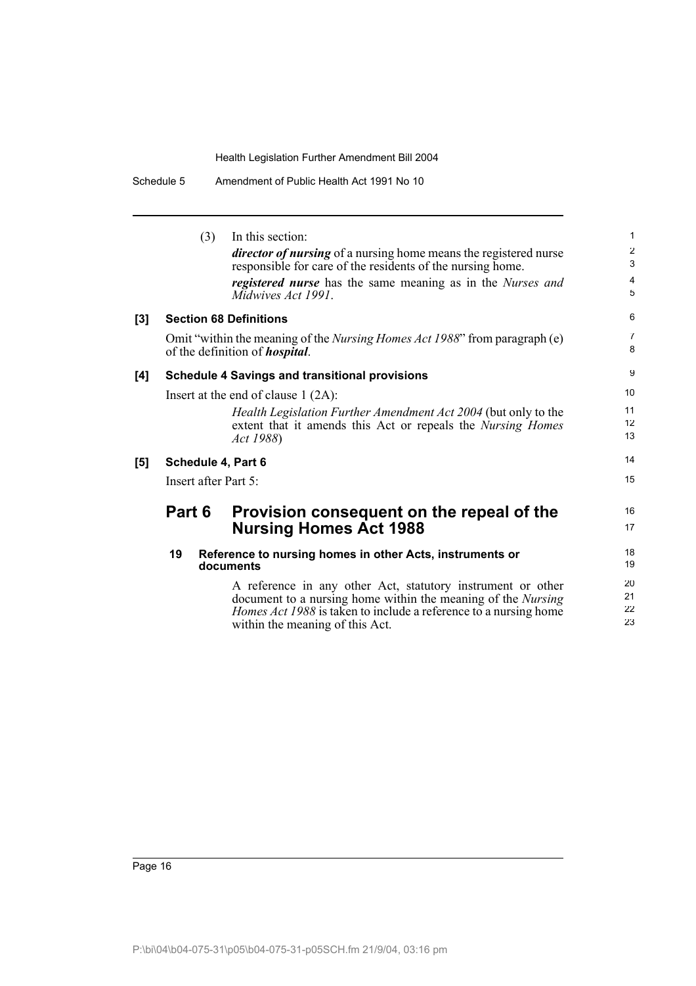Schedule 5 Amendment of Public Health Act 1991 No 10

|     | (3)                  | In this section:                                                                                                                                                                                                                                 | $\mathbf{1}$         |
|-----|----------------------|--------------------------------------------------------------------------------------------------------------------------------------------------------------------------------------------------------------------------------------------------|----------------------|
|     |                      | <i>director of nursing</i> of a nursing home means the registered nurse<br>responsible for care of the residents of the nursing home.                                                                                                            | $\overline{2}$<br>3  |
|     |                      | <i>registered nurse</i> has the same meaning as in the <i>Nurses and</i>                                                                                                                                                                         | $\overline{4}$       |
|     |                      | Midwives Act 1991.                                                                                                                                                                                                                               | 5                    |
| [3] |                      | <b>Section 68 Definitions</b>                                                                                                                                                                                                                    | 6                    |
|     |                      | Omit "within the meaning of the <i>Nursing Homes Act 1988</i> " from paragraph (e)<br>of the definition of <i>hospital</i> .                                                                                                                     | $\overline{7}$<br>8  |
| [4] |                      | <b>Schedule 4 Savings and transitional provisions</b>                                                                                                                                                                                            | 9                    |
|     |                      | Insert at the end of clause $1 (2A)$ :                                                                                                                                                                                                           | 10                   |
|     |                      | Health Legislation Further Amendment Act 2004 (but only to the                                                                                                                                                                                   | 11                   |
|     |                      | extent that it amends this Act or repeals the Nursing Homes<br>Act 1988)                                                                                                                                                                         | 12<br>13             |
| [5] | Schedule 4, Part 6   |                                                                                                                                                                                                                                                  | 14                   |
|     | Insert after Part 5: |                                                                                                                                                                                                                                                  | 15                   |
|     | Part 6               | Provision consequent on the repeal of the                                                                                                                                                                                                        | 16                   |
|     |                      | <b>Nursing Homes Act 1988</b>                                                                                                                                                                                                                    | 17                   |
|     | 19                   | Reference to nursing homes in other Acts, instruments or<br>documents                                                                                                                                                                            | 18<br>19             |
|     |                      | A reference in any other Act, statutory instrument or other<br>document to a nursing home within the meaning of the <i>Nursing</i><br><i>Homes Act 1988</i> is taken to include a reference to a nursing home<br>within the meaning of this Act. | 20<br>21<br>22<br>23 |
|     |                      |                                                                                                                                                                                                                                                  |                      |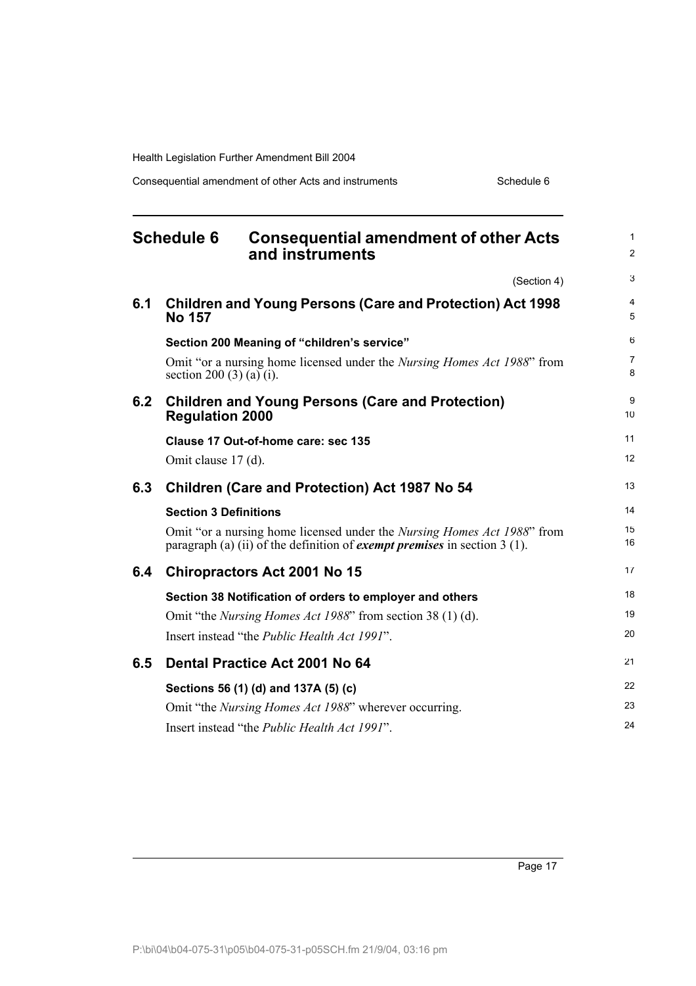Consequential amendment of other Acts and instruments Schedule 6

|     | <b>Schedule 6</b><br><b>Consequential amendment of other Acts</b><br>and instruments                                                                                  | $\mathbf{1}$<br>2   |
|-----|-----------------------------------------------------------------------------------------------------------------------------------------------------------------------|---------------------|
|     | (Section 4)                                                                                                                                                           | 3                   |
| 6.1 | <b>Children and Young Persons (Care and Protection) Act 1998</b><br><b>No 157</b>                                                                                     | 4<br>5              |
|     | Section 200 Meaning of "children's service"                                                                                                                           | 6                   |
|     | Omit "or a nursing home licensed under the <i>Nursing Homes Act 1988</i> " from<br>section 200 $(3)$ (a) $(i)$ .                                                      | $\overline{7}$<br>8 |
| 6.2 | <b>Children and Young Persons (Care and Protection)</b><br><b>Regulation 2000</b>                                                                                     | 9<br>10             |
|     | Clause 17 Out-of-home care: sec 135                                                                                                                                   | 11                  |
|     | Omit clause 17 (d).                                                                                                                                                   | 12                  |
| 6.3 | <b>Children (Care and Protection) Act 1987 No 54</b>                                                                                                                  | 13                  |
|     | <b>Section 3 Definitions</b>                                                                                                                                          | 14                  |
|     | Omit "or a nursing home licensed under the <i>Nursing Homes Act 1988</i> " from<br>paragraph (a) (ii) of the definition of <i>exempt premises</i> in section $3(1)$ . | 15<br>16            |
| 6.4 | <b>Chiropractors Act 2001 No 15</b>                                                                                                                                   | 17                  |
|     | Section 38 Notification of orders to employer and others                                                                                                              | 18                  |
|     | Omit "the <i>Nursing Homes Act 1988</i> " from section 38 (1) (d).                                                                                                    | 19                  |
|     | Insert instead "the <i>Public Health Act 1991"</i> .                                                                                                                  | 20                  |
| 6.5 | Dental Practice Act 2001 No 64                                                                                                                                        | 21                  |
|     | Sections 56 (1) (d) and 137A (5) (c)                                                                                                                                  | 22                  |
|     | Omit "the <i>Nursing Homes Act 1988</i> " wherever occurring.                                                                                                         | 23                  |
|     | Insert instead "the Public Health Act 1991".                                                                                                                          | 24                  |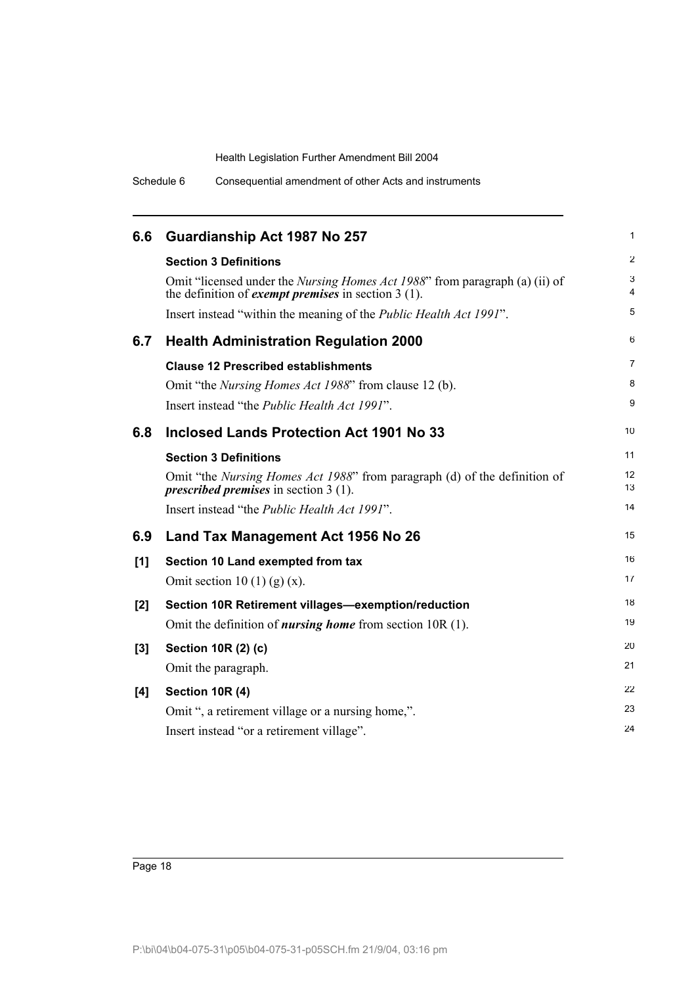Schedule 6 Consequential amendment of other Acts and instruments

| 6.6   | Guardianship Act 1987 No 257                                                                                                                        | 1              |
|-------|-----------------------------------------------------------------------------------------------------------------------------------------------------|----------------|
|       | <b>Section 3 Definitions</b>                                                                                                                        | $\overline{c}$ |
|       | Omit "licensed under the <i>Nursing Homes Act 1988</i> " from paragraph (a) (ii) of<br>the definition of <i>exempt premises</i> in section $3(1)$ . | 3<br>4         |
|       | Insert instead "within the meaning of the <i>Public Health Act 1991"</i> .                                                                          | 5              |
| 6.7   | <b>Health Administration Regulation 2000</b>                                                                                                        | 6              |
|       | <b>Clause 12 Prescribed establishments</b>                                                                                                          | 7              |
|       | Omit "the <i>Nursing Homes Act 1988</i> " from clause 12 (b).                                                                                       | 8              |
|       | Insert instead "the <i>Public Health Act 1991"</i> .                                                                                                | 9              |
| 6.8   | <b>Inclosed Lands Protection Act 1901 No 33</b>                                                                                                     | 10             |
|       | <b>Section 3 Definitions</b>                                                                                                                        | 11             |
|       | Omit "the Nursing Homes Act 1988" from paragraph (d) of the definition of<br><i>prescribed premises</i> in section $3(1)$ .                         | 12<br>13       |
|       | Insert instead "the <i>Public Health Act 1991"</i> .                                                                                                | 14             |
| 6.9   | Land Tax Management Act 1956 No 26                                                                                                                  | 15             |
| [1]   | Section 10 Land exempted from tax                                                                                                                   | 16             |
|       | Omit section 10 (1) (g) $(x)$ .                                                                                                                     | 17             |
| [2]   | Section 10R Retirement villages-exemption/reduction                                                                                                 | 18             |
|       | Omit the definition of <i>nursing home</i> from section $10R(1)$ .                                                                                  | 19             |
| $[3]$ | Section 10R (2) (c)                                                                                                                                 | 20             |
|       | Omit the paragraph.                                                                                                                                 | 21             |
| [4]   | Section 10R (4)                                                                                                                                     | 22             |
|       | Omit ", a retirement village or a nursing home,".                                                                                                   | 23             |
|       | Insert instead "or a retirement village".                                                                                                           | 24             |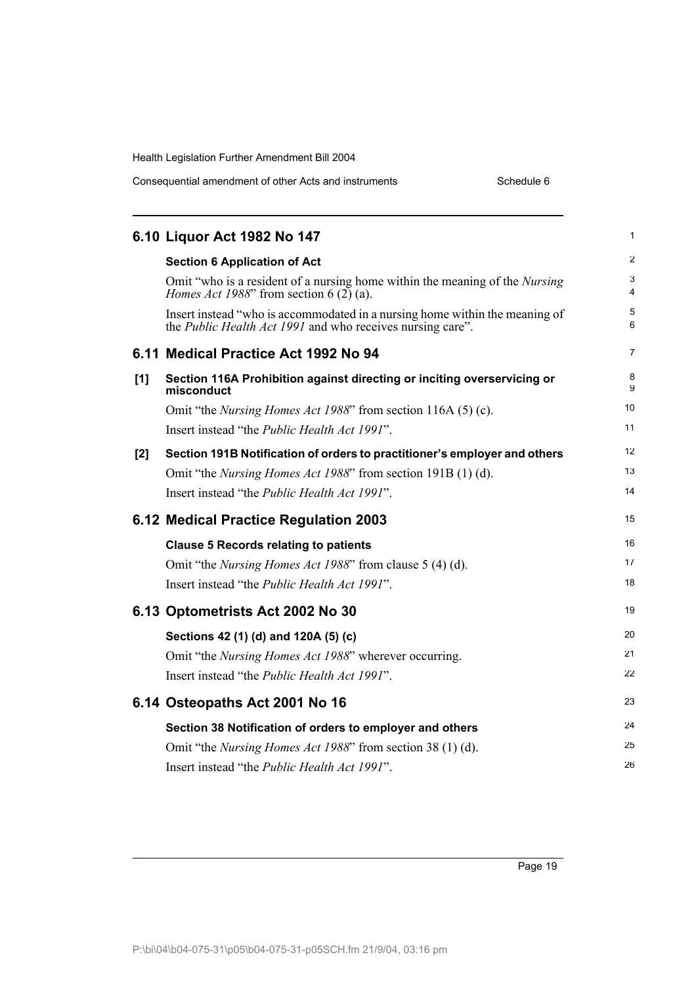| Consequential amendment of other Acts and instruments | Schedule 6 |
|-------------------------------------------------------|------------|
|-------------------------------------------------------|------------|

|     | 6.10 Liquor Act 1982 No 147                                                                                                                      | 1              |
|-----|--------------------------------------------------------------------------------------------------------------------------------------------------|----------------|
|     | <b>Section 6 Application of Act</b>                                                                                                              | $\overline{2}$ |
|     | Omit "who is a resident of a nursing home within the meaning of the <i>Nursing</i><br><i>Homes Act 1988</i> " from section 6 $(2)$ (a).          | 3<br>4         |
|     | Insert instead "who is accommodated in a nursing home within the meaning of<br>the <i>Public Health Act 1991</i> and who receives nursing care". | 5<br>6         |
|     | 6.11 Medical Practice Act 1992 No 94                                                                                                             | $\overline{7}$ |
| [1] | Section 116A Prohibition against directing or inciting overservicing or<br>misconduct                                                            | 8<br>9         |
|     | Omit "the <i>Nursing Homes Act 1988</i> " from section 116A (5) (c).                                                                             | 10             |
|     | Insert instead "the Public Health Act 1991".                                                                                                     | 11             |
| [2] | Section 191B Notification of orders to practitioner's employer and others                                                                        | 12             |
|     | Omit "the <i>Nursing Homes Act 1988</i> " from section 191B (1) (d).                                                                             | 13             |
|     | Insert instead "the Public Health Act 1991".                                                                                                     | 14             |
|     | 6.12 Medical Practice Regulation 2003                                                                                                            | 15             |
|     | <b>Clause 5 Records relating to patients</b>                                                                                                     | 16             |
|     | Omit "the <i>Nursing Homes Act 1988</i> " from clause 5 (4) (d).                                                                                 | 17             |
|     | Insert instead "the Public Health Act 1991".                                                                                                     | 18             |
|     | 6.13 Optometrists Act 2002 No 30                                                                                                                 | 19             |
|     | Sections 42 (1) (d) and 120A (5) (c)                                                                                                             | 20             |
|     | Omit "the <i>Nursing Homes Act 1988</i> " wherever occurring.                                                                                    | 21             |
|     | Insert instead "the Public Health Act 1991".                                                                                                     | 22             |
|     | 6.14 Osteopaths Act 2001 No 16                                                                                                                   | 23             |
|     | Section 38 Notification of orders to employer and others                                                                                         | 24             |
|     | Omit "the <i>Nursing Homes Act 1988</i> " from section 38 (1) (d).                                                                               | 25             |
|     | Insert instead "the Public Health Act 1991".                                                                                                     | 26             |
|     |                                                                                                                                                  |                |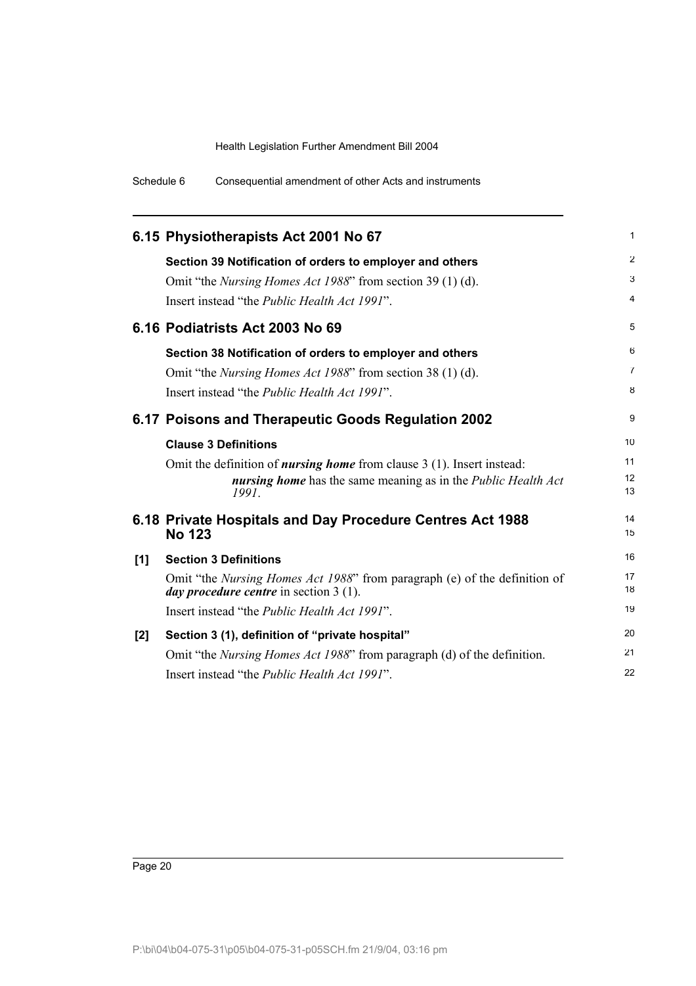Schedule 6 Consequential amendment of other Acts and instruments

|     | 6.15 Physiotherapists Act 2001 No 67                                                                                                 | 1              |
|-----|--------------------------------------------------------------------------------------------------------------------------------------|----------------|
|     | Section 39 Notification of orders to employer and others                                                                             | $\overline{2}$ |
|     | Omit "the <i>Nursing Homes Act 1988</i> " from section 39 (1) (d).                                                                   | 3              |
|     | Insert instead "the <i>Public Health Act 1991"</i> .                                                                                 | 4              |
|     | 6.16 Podiatrists Act 2003 No 69                                                                                                      | 5              |
|     | Section 38 Notification of orders to employer and others                                                                             | 6              |
|     | Omit "the <i>Nursing Homes Act 1988</i> " from section 38 (1) (d).                                                                   | 7              |
|     | Insert instead "the <i>Public Health Act 1991"</i> .                                                                                 | 8              |
|     | 6.17 Poisons and Therapeutic Goods Regulation 2002                                                                                   | 9              |
|     | <b>Clause 3 Definitions</b>                                                                                                          | 10             |
|     | Omit the definition of <i>nursing home</i> from clause $3(1)$ . Insert instead:                                                      | 11             |
|     | <b>nursing home</b> has the same meaning as in the <i>Public Health Act</i><br>1991                                                  | 12<br>13       |
|     | 6.18 Private Hospitals and Day Procedure Centres Act 1988<br><b>No 123</b>                                                           | 14<br>15       |
| [1] | <b>Section 3 Definitions</b>                                                                                                         | 16             |
|     | Omit "the <i>Nursing Homes Act 1988</i> " from paragraph (e) of the definition of<br><i>day procedure centre</i> in section $3(1)$ . | 17<br>18       |
|     | Insert instead "the <i>Public Health Act 1991"</i> .                                                                                 | 19             |
| [2] | Section 3 (1), definition of "private hospital"                                                                                      | 20             |
|     | Omit "the <i>Nursing Homes Act 1988</i> " from paragraph (d) of the definition.                                                      | 21             |
|     | Insert instead "the <i>Public Health Act 1991"</i> .                                                                                 | 22             |